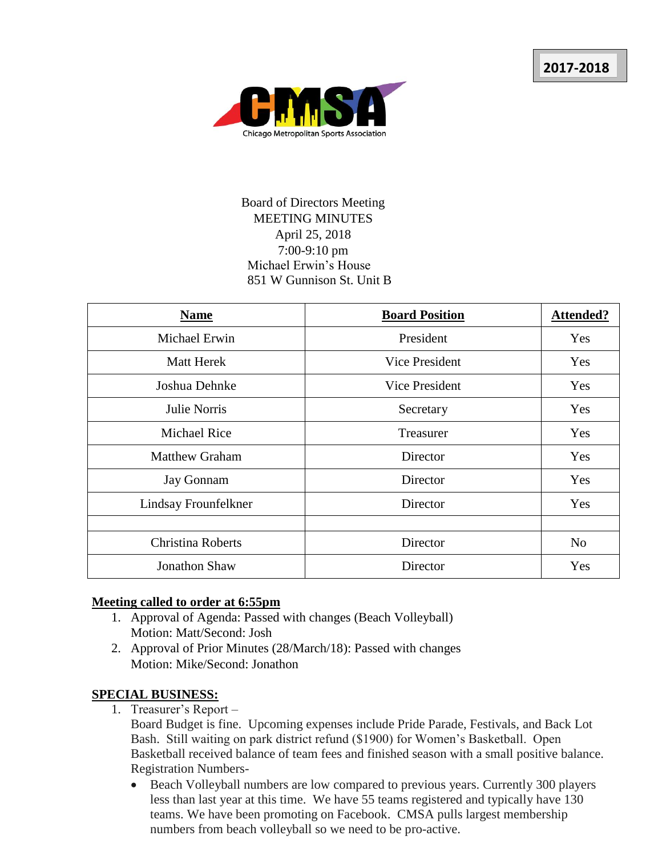

## Board of Directors Meeting MEETING MINUTES April 25, 2018 7:00-9:10 pm Michael Erwin's House 851 W Gunnison St. Unit B

| <b>Name</b>              | <b>Board Position</b> | <b>Attended?</b> |
|--------------------------|-----------------------|------------------|
| Michael Erwin            | President             | Yes              |
| <b>Matt Herek</b>        | Vice President        | Yes              |
| Joshua Dehnke            | Vice President        | Yes              |
| Julie Norris             | Secretary             | <b>Yes</b>       |
| <b>Michael Rice</b>      | Treasurer             | Yes              |
| <b>Matthew Graham</b>    | Director              | Yes              |
| <b>Jay Gonnam</b>        | Director              | Yes              |
| Lindsay Frounfelkner     | Director              | Yes              |
|                          |                       |                  |
| <b>Christina Roberts</b> | Director              | N <sub>o</sub>   |
| <b>Jonathon Shaw</b>     | Director              | Yes              |

#### **Meeting called to order at 6:55pm**

- 1. Approval of Agenda: Passed with changes (Beach Volleyball) Motion: Matt/Second: Josh
- 2. Approval of Prior Minutes (28/March/18): Passed with changes Motion: Mike/Second: Jonathon

### **SPECIAL BUSINESS:**

1. Treasurer's Report –

Board Budget is fine. Upcoming expenses include Pride Parade, Festivals, and Back Lot Bash. Still waiting on park district refund (\$1900) for Women's Basketball. Open Basketball received balance of team fees and finished season with a small positive balance. Registration Numbers-

 Beach Volleyball numbers are low compared to previous years. Currently 300 players less than last year at this time. We have 55 teams registered and typically have 130 teams. We have been promoting on Facebook. CMSA pulls largest membership numbers from beach volleyball so we need to be pro-active.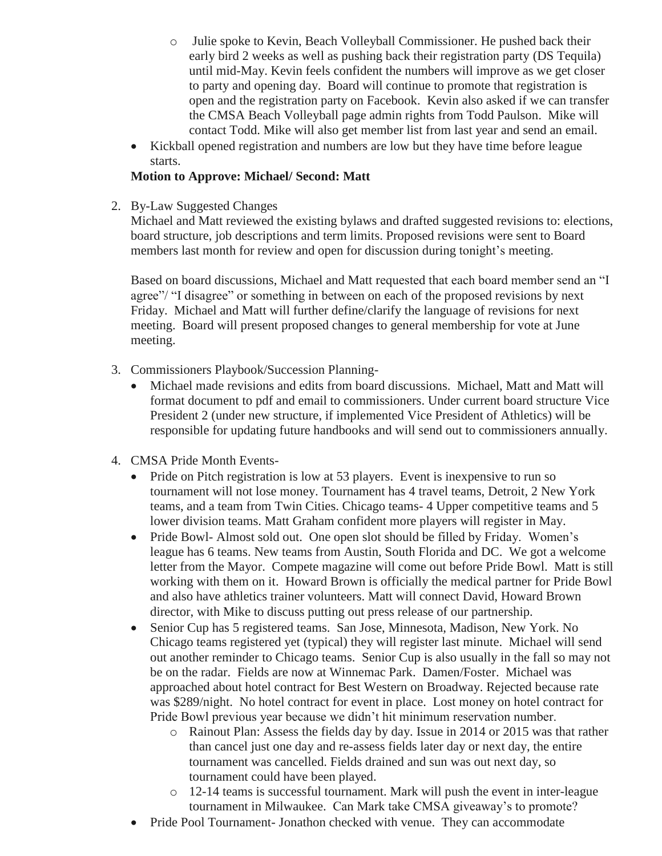- o Julie spoke to Kevin, Beach Volleyball Commissioner. He pushed back their early bird 2 weeks as well as pushing back their registration party (DS Tequila) until mid-May. Kevin feels confident the numbers will improve as we get closer to party and opening day. Board will continue to promote that registration is open and the registration party on Facebook. Kevin also asked if we can transfer the CMSA Beach Volleyball page admin rights from Todd Paulson. Mike will contact Todd. Mike will also get member list from last year and send an email.
- Kickball opened registration and numbers are low but they have time before league starts.

### **Motion to Approve: Michael/ Second: Matt**

2. By-Law Suggested Changes

Michael and Matt reviewed the existing bylaws and drafted suggested revisions to: elections, board structure, job descriptions and term limits. Proposed revisions were sent to Board members last month for review and open for discussion during tonight's meeting.

Based on board discussions, Michael and Matt requested that each board member send an "I agree"/ "I disagree" or something in between on each of the proposed revisions by next Friday. Michael and Matt will further define/clarify the language of revisions for next meeting. Board will present proposed changes to general membership for vote at June meeting.

- 3. Commissioners Playbook/Succession Planning-
	- Michael made revisions and edits from board discussions. Michael, Matt and Matt will format document to pdf and email to commissioners. Under current board structure Vice President 2 (under new structure, if implemented Vice President of Athletics) will be responsible for updating future handbooks and will send out to commissioners annually.
- 4. CMSA Pride Month Events-
	- Pride on Pitch registration is low at 53 players. Event is inexpensive to run so tournament will not lose money. Tournament has 4 travel teams, Detroit, 2 New York teams, and a team from Twin Cities. Chicago teams- 4 Upper competitive teams and 5 lower division teams. Matt Graham confident more players will register in May.
	- Pride Bowl- Almost sold out. One open slot should be filled by Friday. Women's league has 6 teams. New teams from Austin, South Florida and DC. We got a welcome letter from the Mayor. Compete magazine will come out before Pride Bowl. Matt is still working with them on it. Howard Brown is officially the medical partner for Pride Bowl and also have athletics trainer volunteers. Matt will connect David, Howard Brown director, with Mike to discuss putting out press release of our partnership.
	- Senior Cup has 5 registered teams. San Jose, Minnesota, Madison, New York. No Chicago teams registered yet (typical) they will register last minute. Michael will send out another reminder to Chicago teams. Senior Cup is also usually in the fall so may not be on the radar. Fields are now at Winnemac Park. Damen/Foster. Michael was approached about hotel contract for Best Western on Broadway. Rejected because rate was \$289/night. No hotel contract for event in place. Lost money on hotel contract for Pride Bowl previous year because we didn't hit minimum reservation number.
		- o Rainout Plan: Assess the fields day by day. Issue in 2014 or 2015 was that rather than cancel just one day and re-assess fields later day or next day, the entire tournament was cancelled. Fields drained and sun was out next day, so tournament could have been played.
		- $\circ$  12-14 teams is successful tournament. Mark will push the event in inter-league tournament in Milwaukee. Can Mark take CMSA giveaway's to promote?
	- Pride Pool Tournament- Jonathon checked with venue. They can accommodate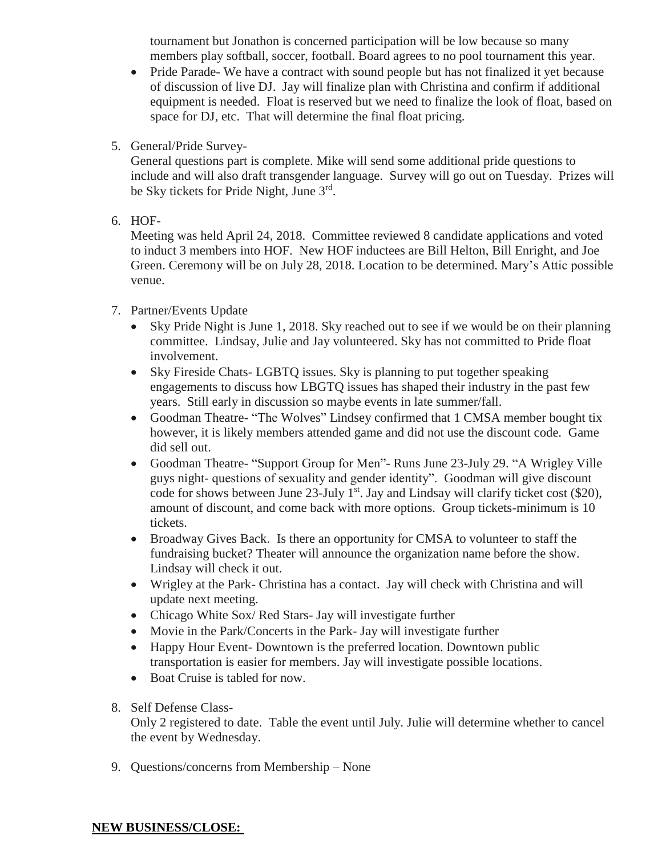tournament but Jonathon is concerned participation will be low because so many members play softball, soccer, football. Board agrees to no pool tournament this year.

- Pride Parade- We have a contract with sound people but has not finalized it yet because of discussion of live DJ. Jay will finalize plan with Christina and confirm if additional equipment is needed. Float is reserved but we need to finalize the look of float, based on space for DJ, etc. That will determine the final float pricing.
- 5. General/Pride Survey-

General questions part is complete. Mike will send some additional pride questions to include and will also draft transgender language. Survey will go out on Tuesday. Prizes will be Sky tickets for Pride Night, June 3<sup>rd</sup>.

6. HOF-

Meeting was held April 24, 2018. Committee reviewed 8 candidate applications and voted to induct 3 members into HOF. New HOF inductees are Bill Helton, Bill Enright, and Joe Green. Ceremony will be on July 28, 2018. Location to be determined. Mary's Attic possible venue.

- 7. Partner/Events Update
	- Sky Pride Night is June 1, 2018. Sky reached out to see if we would be on their planning committee. Lindsay, Julie and Jay volunteered. Sky has not committed to Pride float involvement.
	- Sky Fireside Chats- LGBTQ issues. Sky is planning to put together speaking engagements to discuss how LBGTQ issues has shaped their industry in the past few years. Still early in discussion so maybe events in late summer/fall.
	- Goodman Theatre- "The Wolves" Lindsey confirmed that 1 CMSA member bought tix however, it is likely members attended game and did not use the discount code. Game did sell out.
	- Goodman Theatre- "Support Group for Men"- Runs June 23-July 29. "A Wrigley Ville guys night- questions of sexuality and gender identity". Goodman will give discount code for shows between June  $23$ -July  $1<sup>st</sup>$ . Jay and Lindsay will clarify ticket cost (\$20), amount of discount, and come back with more options. Group tickets-minimum is 10 tickets.
	- Broadway Gives Back. Is there an opportunity for CMSA to volunteer to staff the fundraising bucket? Theater will announce the organization name before the show. Lindsay will check it out.
	- Wrigley at the Park- Christina has a contact. Jay will check with Christina and will update next meeting.
	- Chicago White Sox/ Red Stars- Jay will investigate further
	- Movie in the Park/Concerts in the Park- Jay will investigate further
	- Happy Hour Event- Downtown is the preferred location. Downtown public transportation is easier for members. Jay will investigate possible locations.
	- Boat Cruise is tabled for now.
- 8. Self Defense Class-

Only 2 registered to date. Table the event until July. Julie will determine whether to cancel the event by Wednesday.

9. Questions/concerns from Membership – None

#### **NEW BUSINESS/CLOSE:**